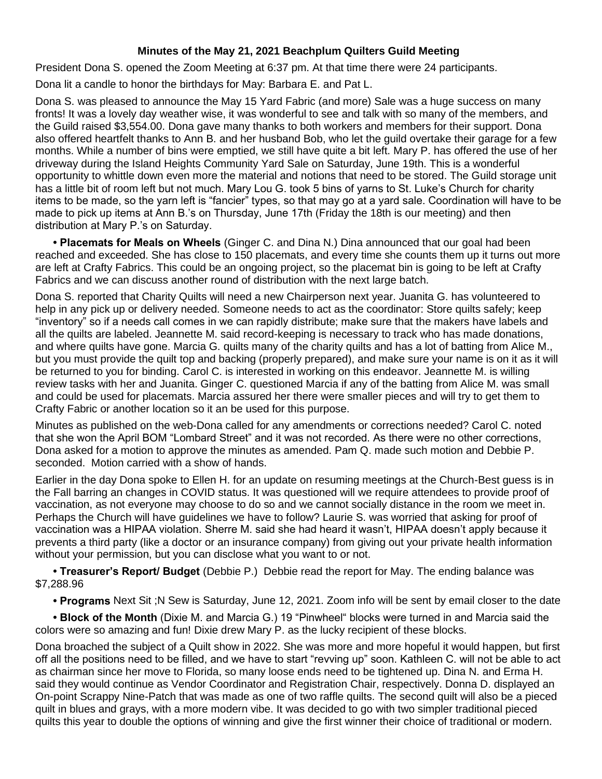## **Minutes of the May 21, 2021 Beachplum Quilters Guild Meeting**

President Dona S. opened the Zoom Meeting at 6:37 pm. At that time there were 24 participants.

Dona lit a candle to honor the birthdays for May: Barbara E. and Pat L.

Dona S. was pleased to announce the May 15 Yard Fabric (and more) Sale was a huge success on many fronts! It was a lovely day weather wise, it was wonderful to see and talk with so many of the members, and the Guild raised \$3,554.00. Dona gave many thanks to both workers and members for their support. Dona also offered heartfelt thanks to Ann B. and her husband Bob, who let the guild overtake their garage for a few months. While a number of bins were emptied, we still have quite a bit left. Mary P. has offered the use of her driveway during the Island Heights Community Yard Sale on Saturday, June 19th. This is a wonderful opportunity to whittle down even more the material and notions that need to be stored. The Guild storage unit has a little bit of room left but not much. Mary Lou G. took 5 bins of yarns to St. Luke's Church for charity items to be made, so the yarn left is "fancier" types, so that may go at a yard sale. Coordination will have to be made to pick up items at Ann B.'s on Thursday, June 17th (Friday the 18th is our meeting) and then distribution at Mary P.'s on Saturday.

• Placemats for Meals on Wheels (Ginger C. and Dina N.) Dina announced that our goal had been reached and exceeded. She has close to 150 placemats, and every time she counts them up it turns out more are left at Crafty Fabrics. This could be an ongoing project, so the placemat bin is going to be left at Crafty Fabrics and we can discuss another round of distribution with the next large batch.

Dona S. reported that Charity Quilts will need a new Chairperson next year. Juanita G. has volunteered to help in any pick up or delivery needed. Someone needs to act as the coordinator: Store quilts safely; keep "inventory" so if a needs call comes in we can rapidly distribute; make sure that the makers have labels and all the quilts are labeled. Jeannette M. said record-keeping is necessary to track who has made donations, and where quilts have gone. Marcia G. quilts many of the charity quilts and has a lot of batting from Alice M., but you must provide the quilt top and backing (properly prepared), and make sure your name is on it as it will be returned to you for binding. Carol C. is interested in working on this endeavor. Jeannette M. is willing review tasks with her and Juanita. Ginger C. questioned Marcia if any of the batting from Alice M. was small and could be used for placemats. Marcia assured her there were smaller pieces and will try to get them to Crafty Fabric or another location so it an be used for this purpose.

Minutes as published on the web-Dona called for any amendments or corrections needed? Carol C. noted that she won the April BOM "Lombard Street" and it was not recorded. As there were no other corrections, Dona asked for a motion to approve the minutes as amended. Pam Q. made such motion and Debbie P. seconded. Motion carried with a show of hands.

Earlier in the day Dona spoke to Ellen H. for an update on resuming meetings at the Church-Best guess is in the Fall barring an changes in COVID status. It was questioned will we require attendees to provide proof of vaccination, as not everyone may choose to do so and we cannot socially distance in the room we meet in. Perhaps the Church will have guidelines we have to follow? Laurie S. was worried that asking for proof of vaccination was a HIPAA violation. Sherre M. said she had heard it wasn't, HIPAA doesn't apply because it prevents a third party (like a doctor or an insurance company) from giving out your private health information without your permission, but you can disclose what you want to or not.

**• Treasurer's Report/ Budget** (Debbie P.) Debbie read the report for May. The ending balance was \$7,288.96

**• Programs** Next Sit ;N Sew is Saturday, June 12, 2021. Zoom info will be sent by email closer to the date

**• Block of the Month** (Dixie M. and Marcia G.) 19 "Pinwheel" blocks were turned in and Marcia said the colors were so amazing and fun! Dixie drew Mary P. as the lucky recipient of these blocks.

Dona broached the subject of a Quilt show in 2022. She was more and more hopeful it would happen, but first off all the positions need to be filled, and we have to start "revving up" soon. Kathleen C. will not be able to act as chairman since her move to Florida, so many loose ends need to be tightened up. Dina N. and Erma H. said they would continue as Vendor Coordinator and Registration Chair, respectively. Donna D. displayed an On-point Scrappy Nine-Patch that was made as one of two raffle quilts. The second quilt will also be a pieced quilt in blues and grays, with a more modern vibe. It was decided to go with two simpler traditional pieced quilts this year to double the options of winning and give the first winner their choice of traditional or modern.